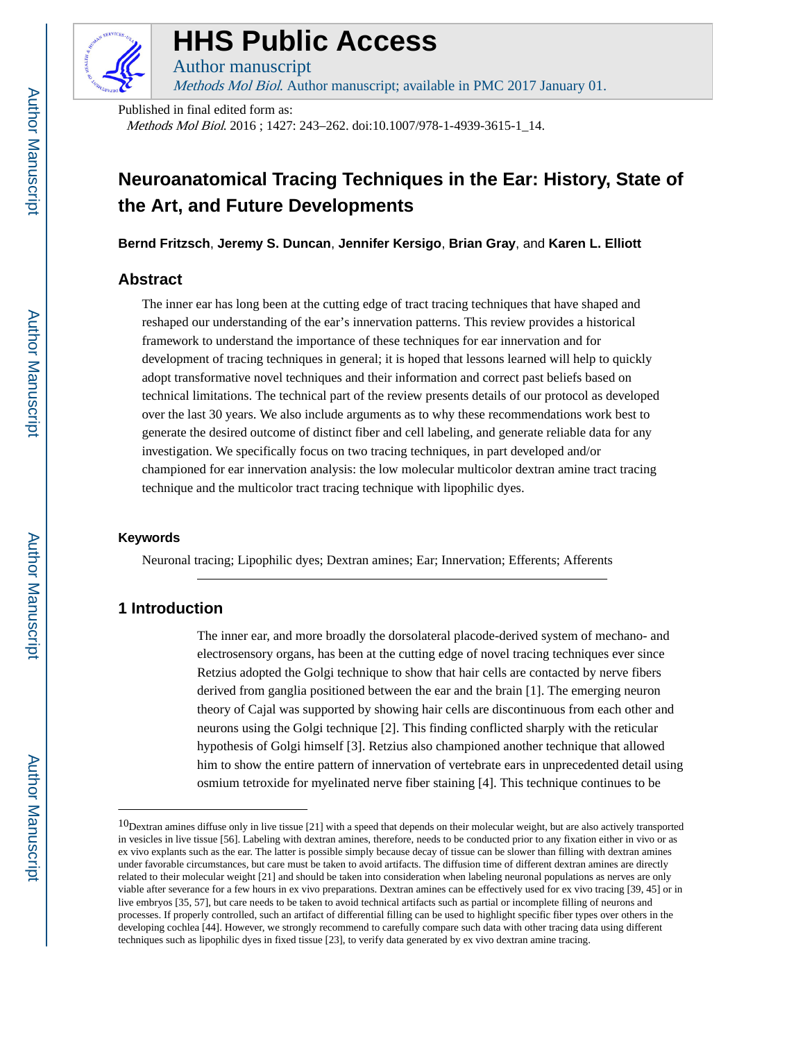

# **HHS Public Access**

Methods Mol Biol. Author manuscript; available in PMC 2017 January 01.

Published in final edited form as:

Author manuscript

Methods Mol Biol. 2016 ; 1427: 243–262. doi:10.1007/978-1-4939-3615-1\_14.

# **Neuroanatomical Tracing Techniques in the Ear: History, State of the Art, and Future Developments**

**Bernd Fritzsch**, **Jeremy S. Duncan**, **Jennifer Kersigo**, **Brian Gray**, and **Karen L. Elliott**

### **Abstract**

The inner ear has long been at the cutting edge of tract tracing techniques that have shaped and reshaped our understanding of the ear's innervation patterns. This review provides a historical framework to understand the importance of these techniques for ear innervation and for development of tracing techniques in general; it is hoped that lessons learned will help to quickly adopt transformative novel techniques and their information and correct past beliefs based on technical limitations. The technical part of the review presents details of our protocol as developed over the last 30 years. We also include arguments as to why these recommendations work best to generate the desired outcome of distinct fiber and cell labeling, and generate reliable data for any investigation. We specifically focus on two tracing techniques, in part developed and/or championed for ear innervation analysis: the low molecular multicolor dextran amine tract tracing technique and the multicolor tract tracing technique with lipophilic dyes.

#### **Keywords**

Neuronal tracing; Lipophilic dyes; Dextran amines; Ear; Innervation; Efferents; Afferents

## **1 Introduction**

The inner ear, and more broadly the dorsolateral placode-derived system of mechano- and electrosensory organs, has been at the cutting edge of novel tracing techniques ever since Retzius adopted the Golgi technique to show that hair cells are contacted by nerve fibers derived from ganglia positioned between the ear and the brain [1]. The emerging neuron theory of Cajal was supported by showing hair cells are discontinuous from each other and neurons using the Golgi technique [2]. This finding conflicted sharply with the reticular hypothesis of Golgi himself [3]. Retzius also championed another technique that allowed him to show the entire pattern of innervation of vertebrate ears in unprecedented detail using osmium tetroxide for myelinated nerve fiber staining [4]. This technique continues to be

 $10$ Dextran amines diffuse only in live tissue [21] with a speed that depends on their molecular weight, but are also actively transported in vesicles in live tissue [56]. Labeling with dextran amines, therefore, needs to be conducted prior to any fixation either in vivo or as ex vivo explants such as the ear. The latter is possible simply because decay of tissue can be slower than filling with dextran amines under favorable circumstances, but care must be taken to avoid artifacts. The diffusion time of different dextran amines are directly related to their molecular weight [21] and should be taken into consideration when labeling neuronal populations as nerves are only viable after severance for a few hours in ex vivo preparations. Dextran amines can be effectively used for ex vivo tracing [39, 45] or in live embryos [35, 57], but care needs to be taken to avoid technical artifacts such as partial or incomplete filling of neurons and processes. If properly controlled, such an artifact of differential filling can be used to highlight specific fiber types over others in the developing cochlea [44]. However, we strongly recommend to carefully compare such data with other tracing data using different techniques such as lipophilic dyes in fixed tissue [23], to verify data generated by ex vivo dextran amine tracing.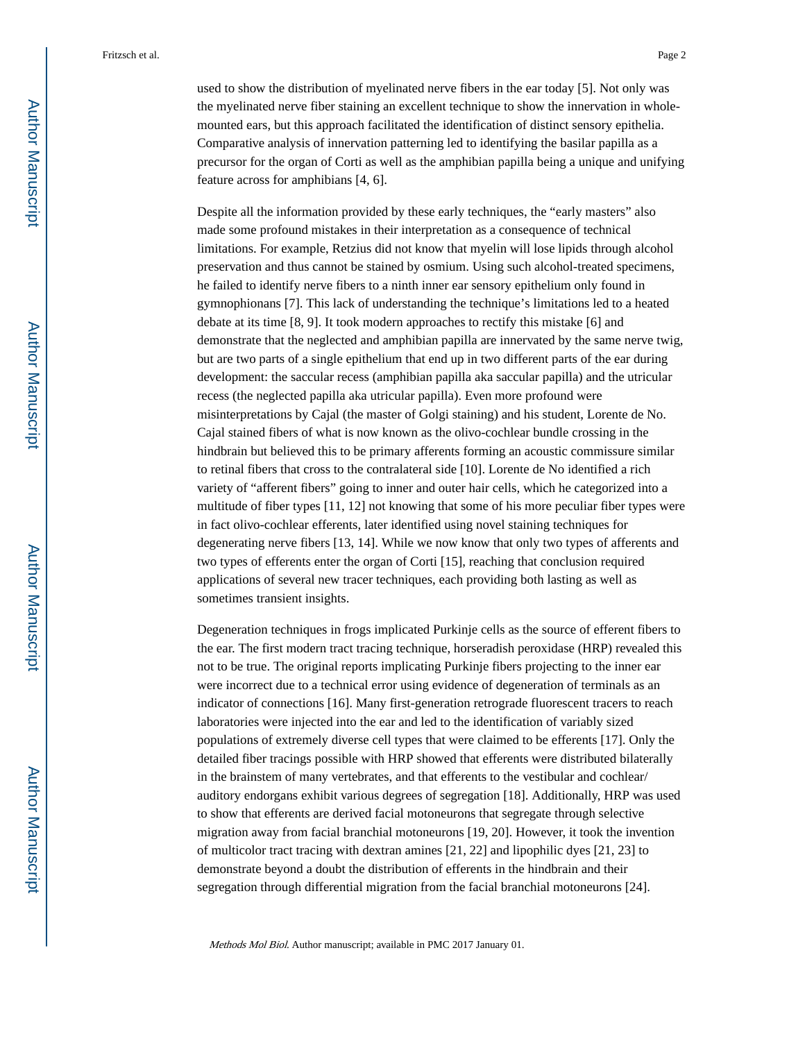used to show the distribution of myelinated nerve fibers in the ear today [5]. Not only was the myelinated nerve fiber staining an excellent technique to show the innervation in wholemounted ears, but this approach facilitated the identification of distinct sensory epithelia. Comparative analysis of innervation patterning led to identifying the basilar papilla as a precursor for the organ of Corti as well as the amphibian papilla being a unique and unifying feature across for amphibians [4, 6].

Despite all the information provided by these early techniques, the "early masters" also made some profound mistakes in their interpretation as a consequence of technical limitations. For example, Retzius did not know that myelin will lose lipids through alcohol preservation and thus cannot be stained by osmium. Using such alcohol-treated specimens, he failed to identify nerve fibers to a ninth inner ear sensory epithelium only found in gymnophionans [7]. This lack of understanding the technique's limitations led to a heated debate at its time [8, 9]. It took modern approaches to rectify this mistake [6] and demonstrate that the neglected and amphibian papilla are innervated by the same nerve twig, but are two parts of a single epithelium that end up in two different parts of the ear during development: the saccular recess (amphibian papilla aka saccular papilla) and the utricular recess (the neglected papilla aka utricular papilla). Even more profound were misinterpretations by Cajal (the master of Golgi staining) and his student, Lorente de No. Cajal stained fibers of what is now known as the olivo-cochlear bundle crossing in the hindbrain but believed this to be primary afferents forming an acoustic commissure similar to retinal fibers that cross to the contralateral side [10]. Lorente de No identified a rich variety of "afferent fibers" going to inner and outer hair cells, which he categorized into a multitude of fiber types [11, 12] not knowing that some of his more peculiar fiber types were in fact olivo-cochlear efferents, later identified using novel staining techniques for degenerating nerve fibers [13, 14]. While we now know that only two types of afferents and two types of efferents enter the organ of Corti [15], reaching that conclusion required applications of several new tracer techniques, each providing both lasting as well as sometimes transient insights.

Degeneration techniques in frogs implicated Purkinje cells as the source of efferent fibers to the ear. The first modern tract tracing technique, horseradish peroxidase (HRP) revealed this not to be true. The original reports implicating Purkinje fibers projecting to the inner ear were incorrect due to a technical error using evidence of degeneration of terminals as an indicator of connections [16]. Many first-generation retrograde fluorescent tracers to reach laboratories were injected into the ear and led to the identification of variably sized populations of extremely diverse cell types that were claimed to be efferents [17]. Only the detailed fiber tracings possible with HRP showed that efferents were distributed bilaterally in the brainstem of many vertebrates, and that efferents to the vestibular and cochlear/ auditory endorgans exhibit various degrees of segregation [18]. Additionally, HRP was used to show that efferents are derived facial motoneurons that segregate through selective migration away from facial branchial motoneurons [19, 20]. However, it took the invention of multicolor tract tracing with dextran amines [21, 22] and lipophilic dyes [21, 23] to demonstrate beyond a doubt the distribution of efferents in the hindbrain and their segregation through differential migration from the facial branchial motoneurons [24].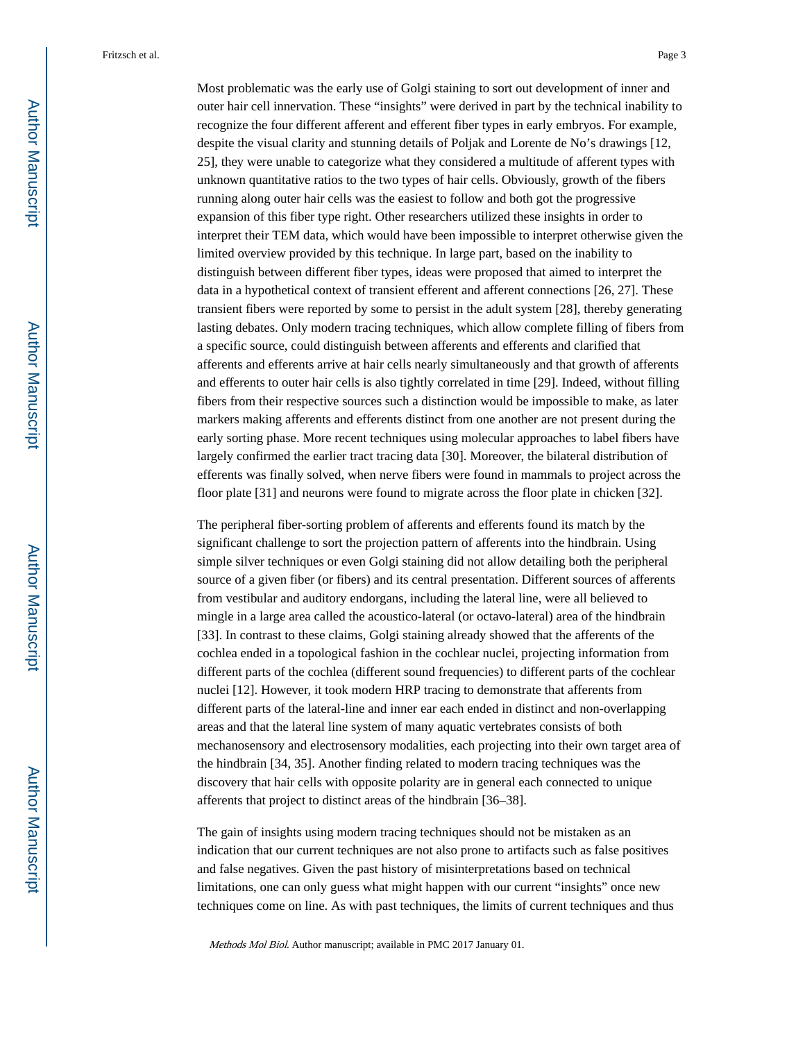Most problematic was the early use of Golgi staining to sort out development of inner and outer hair cell innervation. These "insights" were derived in part by the technical inability to recognize the four different afferent and efferent fiber types in early embryos. For example, despite the visual clarity and stunning details of Poljak and Lorente de No's drawings [12, 25], they were unable to categorize what they considered a multitude of afferent types with unknown quantitative ratios to the two types of hair cells. Obviously, growth of the fibers running along outer hair cells was the easiest to follow and both got the progressive expansion of this fiber type right. Other researchers utilized these insights in order to interpret their TEM data, which would have been impossible to interpret otherwise given the limited overview provided by this technique. In large part, based on the inability to distinguish between different fiber types, ideas were proposed that aimed to interpret the data in a hypothetical context of transient efferent and afferent connections [26, 27]. These transient fibers were reported by some to persist in the adult system [28], thereby generating lasting debates. Only modern tracing techniques, which allow complete filling of fibers from a specific source, could distinguish between afferents and efferents and clarified that afferents and efferents arrive at hair cells nearly simultaneously and that growth of afferents and efferents to outer hair cells is also tightly correlated in time [29]. Indeed, without filling fibers from their respective sources such a distinction would be impossible to make, as later markers making afferents and efferents distinct from one another are not present during the early sorting phase. More recent techniques using molecular approaches to label fibers have largely confirmed the earlier tract tracing data [30]. Moreover, the bilateral distribution of efferents was finally solved, when nerve fibers were found in mammals to project across the floor plate [31] and neurons were found to migrate across the floor plate in chicken [32].

The peripheral fiber-sorting problem of afferents and efferents found its match by the significant challenge to sort the projection pattern of afferents into the hindbrain. Using simple silver techniques or even Golgi staining did not allow detailing both the peripheral source of a given fiber (or fibers) and its central presentation. Different sources of afferents from vestibular and auditory endorgans, including the lateral line, were all believed to mingle in a large area called the acoustico-lateral (or octavo-lateral) area of the hindbrain [33]. In contrast to these claims, Golgi staining already showed that the afferents of the cochlea ended in a topological fashion in the cochlear nuclei, projecting information from different parts of the cochlea (different sound frequencies) to different parts of the cochlear nuclei [12]. However, it took modern HRP tracing to demonstrate that afferents from different parts of the lateral-line and inner ear each ended in distinct and non-overlapping areas and that the lateral line system of many aquatic vertebrates consists of both mechanosensory and electrosensory modalities, each projecting into their own target area of the hindbrain [34, 35]. Another finding related to modern tracing techniques was the discovery that hair cells with opposite polarity are in general each connected to unique afferents that project to distinct areas of the hindbrain [36–38].

The gain of insights using modern tracing techniques should not be mistaken as an indication that our current techniques are not also prone to artifacts such as false positives and false negatives. Given the past history of misinterpretations based on technical limitations, one can only guess what might happen with our current "insights" once new techniques come on line. As with past techniques, the limits of current techniques and thus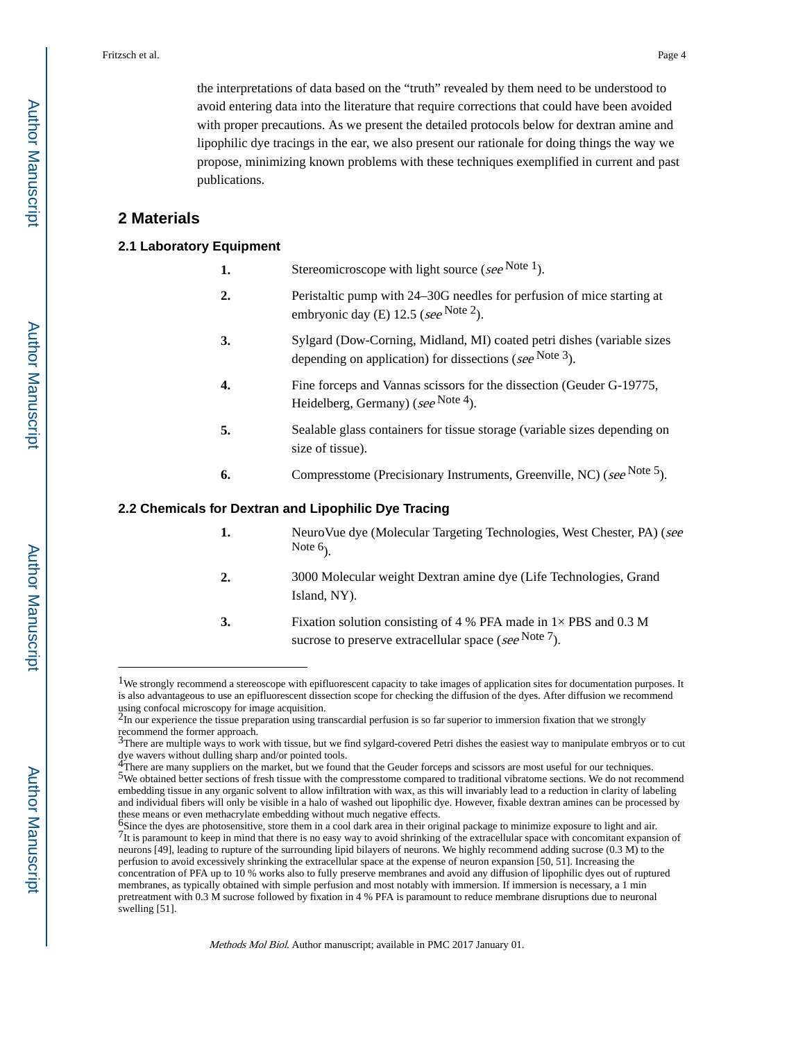the interpretations of data based on the "truth" revealed by them need to be understood to avoid entering data into the literature that require corrections that could have been avoided with proper precautions. As we present the detailed protocols below for dextran amine and lipophilic dye tracings in the ear, we also present our rationale for doing things the way we propose, minimizing known problems with these techniques exemplified in current and past publications.

#### **2 Materials**

#### **2.1 Laboratory Equipment**

- **1.** Stereomicroscope with light source ( $\sec^{\text{Note 1}}$ ).
- **2.** Peristaltic pump with 24–30G needles for perfusion of mice starting at embryonic day (E)  $12.5$  (see Note 2).
- **3.** Sylgard (Dow-Corning, Midland, MI) coated petri dishes (variable sizes depending on application) for dissections (see Note 3).
- **4.** Fine forceps and Vannas scissors for the dissection (Geuder G-19775, Heidelberg, Germany) (see Note 4).
- **5.** Sealable glass containers for tissue storage (variable sizes depending on size of tissue).
- **6.** Compresstome (Precisionary Instruments, Greenville, NC) (see <sup>Note 5</sup>).

#### **2.2 Chemicals for Dextran and Lipophilic Dye Tracing**

- **1.** NeuroVue dye (Molecular Targeting Technologies, West Chester, PA) (see Note  $6<sub>1</sub>$ .
- **2.** 3000 Molecular weight Dextran amine dye (Life Technologies, Grand Island, NY).
- **3.** Fixation solution consisting of 4 % PFA made in 1× PBS and 0.3 M sucrose to preserve extracellular space (*see* Note 7).

<sup>&</sup>lt;sup>1</sup>We strongly recommend a stereoscope with epifluorescent capacity to take images of application sites for documentation purposes. It is also advantageous to use an epifluorescent dissection scope for checking the diffusion of the dyes. After diffusion we recommend

using confocal microscopy for image acquisition.<br><sup>2</sup>In our experience the tissue preparation using transcardial perfusion is so far superior to immersion fixation that we strongly recommend the former approach.<br><sup>3</sup>There are multiple ways to work with tissue, but we find sylgard-covered Petri dishes the easiest way to manipulate embryos or to cut

dye wavers without dulling sharp and/or pointed tools. 4There are many suppliers on the market, but we found that the Geuder forceps and scissors are most useful for our techniques.

<sup>5</sup>We obtained better sections of fresh tissue with the compresstome compared to traditional vibratome sections. We do not recommend embedding tissue in any organic solvent to allow infiltration with wax, as this will invariably lead to a reduction in clarity of labeling and individual fibers will only be visible in a halo of washed out lipophilic dye. However, fixable dextran amines can be processed by these means or even methacrylate embedding without much negative effects.

<sup>6</sup>Since the dyes are photosensitive, store them in a cool dark area in their original package to minimize exposure to light and air. 7It is paramount to keep in mind that there is no easy way to avoid shrinking of the extracellular space with concomitant expansion of neurons [49], leading to rupture of the surrounding lipid bilayers of neurons. We highly recommend adding sucrose (0.3 M) to the perfusion to avoid excessively shrinking the extracellular space at the expense of neuron expansion [50, 51]. Increasing the concentration of PFA up to 10 % works also to fully preserve membranes and avoid any diffusion of lipophilic dyes out of ruptured membranes, as typically obtained with simple perfusion and most notably with immersion. If immersion is necessary, a 1 min pretreatment with 0.3 M sucrose followed by fixation in 4 % PFA is paramount to reduce membrane disruptions due to neuronal swelling [51].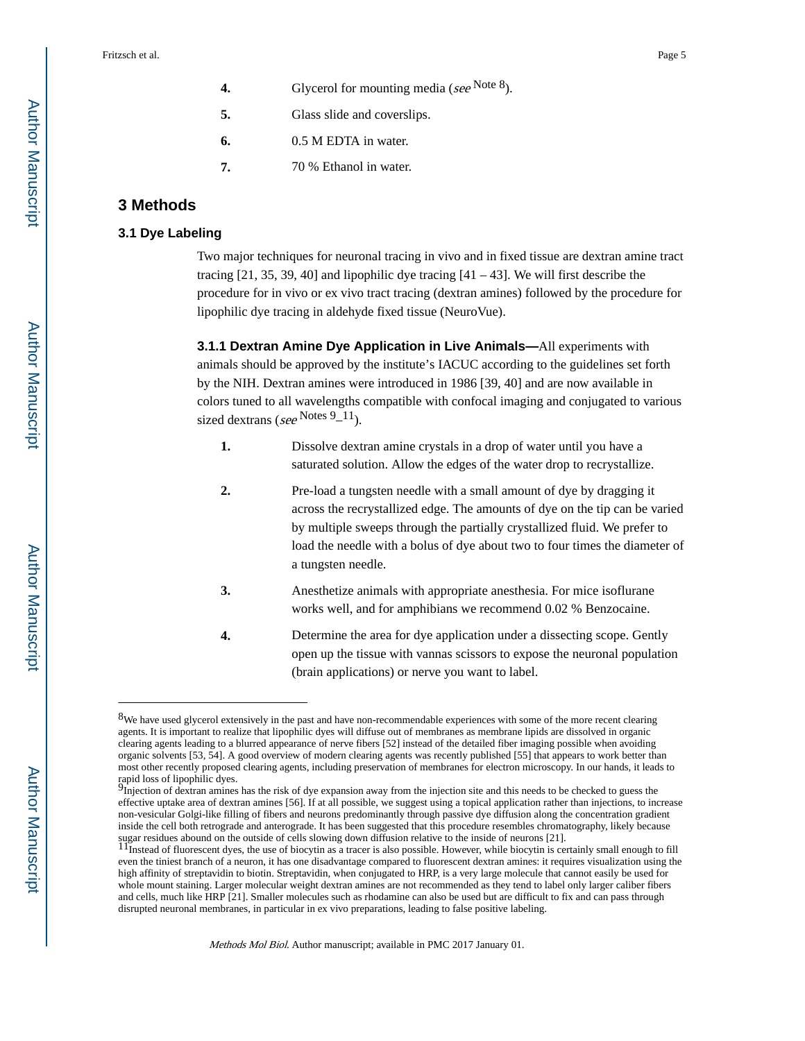|    | Glycerol for mounting media (see Note $8$ ). |
|----|----------------------------------------------|
| 5. | Glass slide and coverslips.                  |
| 6. | 0.5 M EDTA in water.                         |
| 7. | 70 % Ethanol in water.                       |

#### **3 Methods**

#### **3.1 Dye Labeling**

Two major techniques for neuronal tracing in vivo and in fixed tissue are dextran amine tract tracing  $[21, 35, 39, 40]$  and lipophilic dye tracing  $[41 - 43]$ . We will first describe the procedure for in vivo or ex vivo tract tracing (dextran amines) followed by the procedure for lipophilic dye tracing in aldehyde fixed tissue (NeuroVue).

**3.1.1 Dextran Amine Dye Application in Live Animals—**All experiments with animals should be approved by the institute's IACUC according to the guidelines set forth by the NIH. Dextran amines were introduced in 1986 [39, 40] and are now available in colors tuned to all wavelengths compatible with confocal imaging and conjugated to various sized dextrans (see Notes 9\_11).

- **1.** Dissolve dextran amine crystals in a drop of water until you have a saturated solution. Allow the edges of the water drop to recrystallize.
- **2.** Pre-load a tungsten needle with a small amount of dye by dragging it across the recrystallized edge. The amounts of dye on the tip can be varied by multiple sweeps through the partially crystallized fluid. We prefer to load the needle with a bolus of dye about two to four times the diameter of a tungsten needle.
- **3.** Anesthetize animals with appropriate anesthesia. For mice isoflurane works well, and for amphibians we recommend 0.02 % Benzocaine.
- **4.** Determine the area for dye application under a dissecting scope. Gently open up the tissue with vannas scissors to expose the neuronal population (brain applications) or nerve you want to label.

<sup>8</sup>We have used glycerol extensively in the past and have non-recommendable experiences with some of the more recent clearing agents. It is important to realize that lipophilic dyes will diffuse out of membranes as membrane lipids are dissolved in organic clearing agents leading to a blurred appearance of nerve fibers [52] instead of the detailed fiber imaging possible when avoiding organic solvents [53, 54]. A good overview of modern clearing agents was recently published [55] that appears to work better than most other recently proposed clearing agents, including preservation of membranes for electron microscopy. In our hands, it leads to rapid loss of lipophilic dyes.

Injection of dextran amines has the risk of dye expansion away from the injection site and this needs to be checked to guess the effective uptake area of dextran amines [56]. If at all possible, we suggest using a topical application rather than injections, to increase non-vesicular Golgi-like filling of fibers and neurons predominantly through passive dye diffusion along the concentration gradient inside the cell both retrograde and anterograde. It has been suggested that this procedure resembles chromatography, likely because sugar residues abound on the outside of cells slowing down diffusion relative to the inside of neurons [21].<br><sup>11</sup>Instead of fluorescent dyes, the use of biocytin as a tracer is also possible. However, while biocytin is cer

even the tiniest branch of a neuron, it has one disadvantage compared to fluorescent dextran amines: it requires visualization using the high affinity of streptavidin to biotin. Streptavidin, when conjugated to HRP, is a very large molecule that cannot easily be used for whole mount staining. Larger molecular weight dextran amines are not recommended as they tend to label only larger caliber fibers and cells, much like HRP [21]. Smaller molecules such as rhodamine can also be used but are difficult to fix and can pass through disrupted neuronal membranes, in particular in ex vivo preparations, leading to false positive labeling.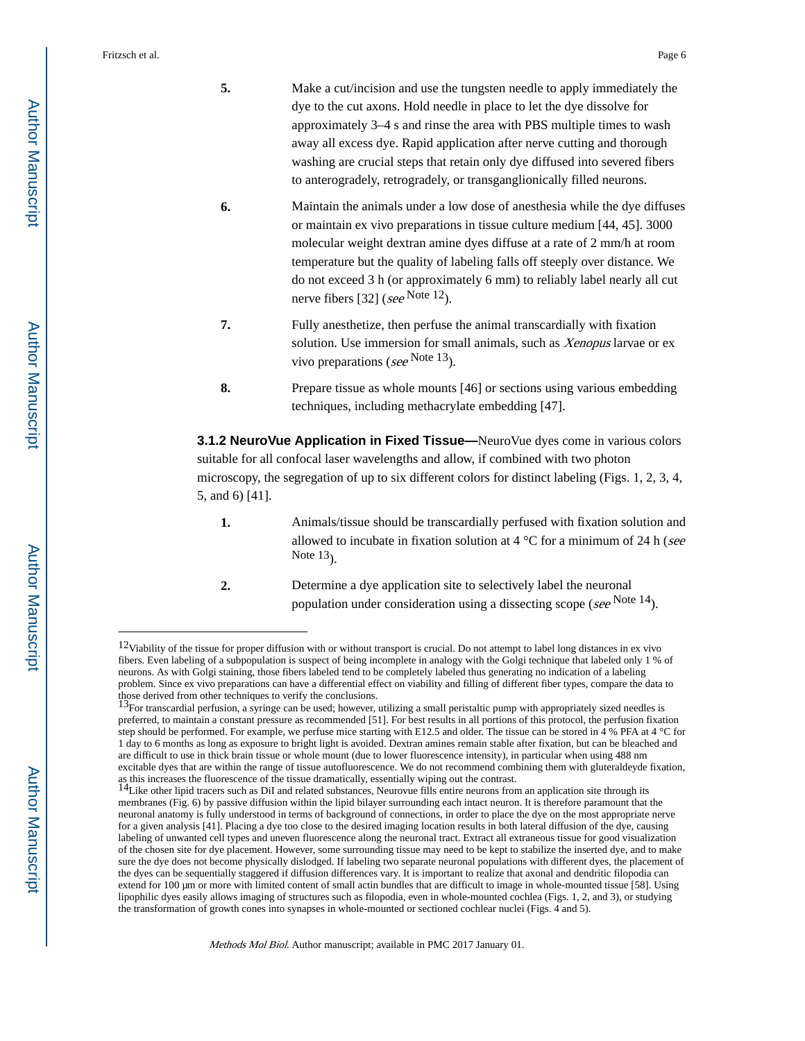- **5.** Make a cut/incision and use the tungsten needle to apply immediately the dye to the cut axons. Hold needle in place to let the dye dissolve for approximately 3–4 s and rinse the area with PBS multiple times to wash away all excess dye. Rapid application after nerve cutting and thorough washing are crucial steps that retain only dye diffused into severed fibers to anterogradely, retrogradely, or transganglionically filled neurons.
- **6.** Maintain the animals under a low dose of anesthesia while the dye diffuses or maintain ex vivo preparations in tissue culture medium [44, 45]. 3000 molecular weight dextran amine dyes diffuse at a rate of 2 mm/h at room temperature but the quality of labeling falls off steeply over distance. We do not exceed 3 h (or approximately 6 mm) to reliably label nearly all cut nerve fibers [32] (see Note 12).
- **7.** Fully anesthetize, then perfuse the animal transcardially with fixation solution. Use immersion for small animals, such as Xenopus larvae or ex vivo preparations (see Note 13).
- **8.** Prepare tissue as whole mounts [46] or sections using various embedding techniques, including methacrylate embedding [47].

**3.1.2 NeuroVue Application in Fixed Tissue—**NeuroVue dyes come in various colors suitable for all confocal laser wavelengths and allow, if combined with two photon microscopy, the segregation of up to six different colors for distinct labeling (Figs. 1, 2, 3, 4, 5, and 6) [41].

- **1.** Animals/tissue should be transcardially perfused with fixation solution and allowed to incubate in fixation solution at 4  $^{\circ}$ C for a minimum of 24 h (see Note  $13$ ).
- **2.** Determine a dye application site to selectively label the neuronal population under consideration using a dissecting scope (see Note 14).

<sup>&</sup>lt;sup>12</sup>Viability of the tissue for proper diffusion with or without transport is crucial. Do not attempt to label long distances in ex vivo fibers. Even labeling of a subpopulation is suspect of being incomplete in analogy with the Golgi technique that labeled only 1 % of neurons. As with Golgi staining, those fibers labeled tend to be completely labeled thus generating no indication of a labeling problem. Since ex vivo preparations can have a differential effect on viability and filling of different fiber types, compare the data to those derived from other techniques to verify the conclusions.<br><sup>13</sup>For transcardial perfusion, a syringe can be used; however, utilizing a small peristaltic pump with appropriately sized needles is

preferred, to maintain a constant pressure as recommended [51]. For best results in all portions of this protocol, the perfusion fixation step should be performed. For example, we perfuse mice starting with E12.5 and older. The tissue can be stored in 4 % PFA at 4 °C for 1 day to 6 months as long as exposure to bright light is avoided. Dextran amines remain stable after fixation, but can be bleached and are difficult to use in thick brain tissue or whole mount (due to lower fluorescence intensity), in particular when using 488 nm excitable dyes that are within the range of tissue autofluorescence. We do not recommend combining them with gluteraldeyde fixation, as this increases the fluorescence of the tissue dramatically, essentially wiping out the contrast.<br><sup>14</sup>Like other lipid tracers such as DiI and related substances, Neurovue fills entire neurons from an application site th

membranes (Fig. 6) by passive diffusion within the lipid bilayer surrounding each intact neuron. It is therefore paramount that the neuronal anatomy is fully understood in terms of background of connections, in order to place the dye on the most appropriate nerve for a given analysis [41]. Placing a dye too close to the desired imaging location results in both lateral diffusion of the dye, causing labeling of unwanted cell types and uneven fluorescence along the neuronal tract. Extract all extraneous tissue for good visualization of the chosen site for dye placement. However, some surrounding tissue may need to be kept to stabilize the inserted dye, and to make sure the dye does not become physically dislodged. If labeling two separate neuronal populations with different dyes, the placement of the dyes can be sequentially staggered if diffusion differences vary. It is important to realize that axonal and dendritic filopodia can extend for 100 μm or more with limited content of small actin bundles that are difficult to image in whole-mounted tissue [58]. Using lipophilic dyes easily allows imaging of structures such as filopodia, even in whole-mounted cochlea (Figs. 1, 2, and 3), or studying the transformation of growth cones into synapses in whole-mounted or sectioned cochlear nuclei (Figs. 4 and 5).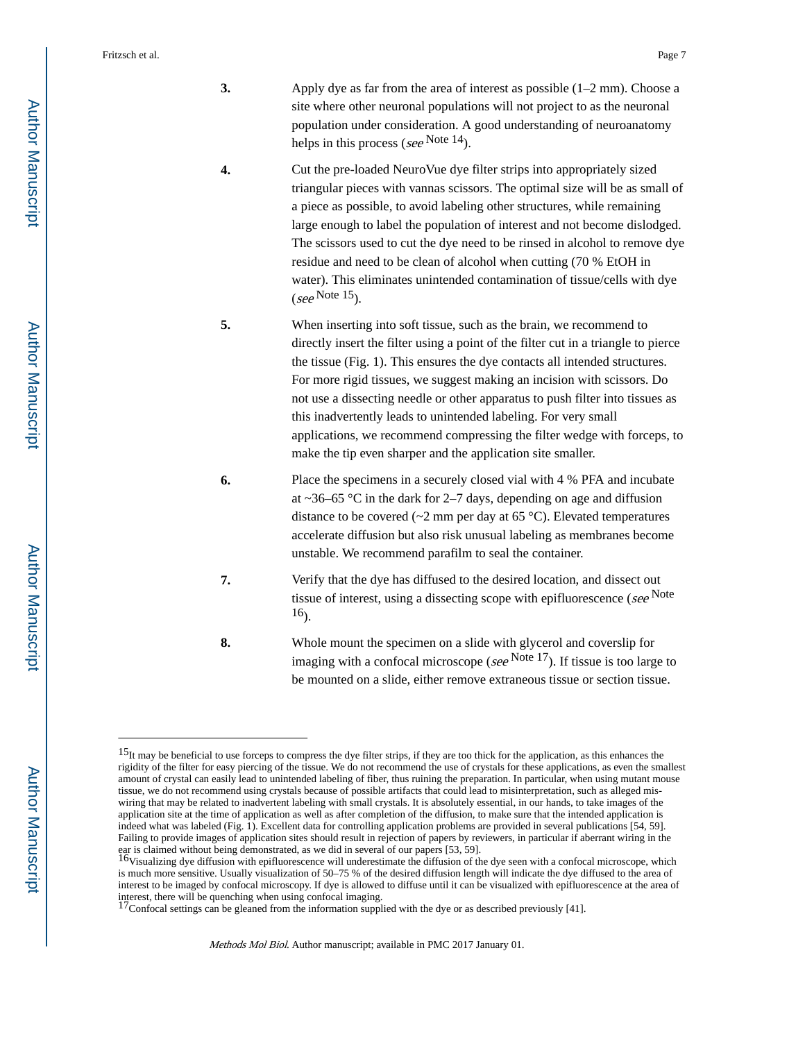- **3.** Apply dye as far from the area of interest as possible (1–2 mm). Choose a site where other neuronal populations will not project to as the neuronal population under consideration. A good understanding of neuroanatomy helps in this process (see Note  $14$ ).
- **4.** Cut the pre-loaded NeuroVue dye filter strips into appropriately sized triangular pieces with vannas scissors. The optimal size will be as small of a piece as possible, to avoid labeling other structures, while remaining large enough to label the population of interest and not become dislodged. The scissors used to cut the dye need to be rinsed in alcohol to remove dye residue and need to be clean of alcohol when cutting (70 % EtOH in water). This eliminates unintended contamination of tissue/cells with dye  $(see$  Note 15 $).$
- **5.** When inserting into soft tissue, such as the brain, we recommend to directly insert the filter using a point of the filter cut in a triangle to pierce the tissue (Fig. 1). This ensures the dye contacts all intended structures. For more rigid tissues, we suggest making an incision with scissors. Do not use a dissecting needle or other apparatus to push filter into tissues as this inadvertently leads to unintended labeling. For very small applications, we recommend compressing the filter wedge with forceps, to make the tip even sharper and the application site smaller.
- **6.** Place the specimens in a securely closed vial with 4 % PFA and incubate at  $\sim$ 36–65 °C in the dark for 2–7 days, depending on age and diffusion distance to be covered ( $\sim$ 2 mm per day at 65 °C). Elevated temperatures accelerate diffusion but also risk unusual labeling as membranes become unstable. We recommend parafilm to seal the container.
- **7.** Verify that the dye has diffused to the desired location, and dissect out tissue of interest, using a dissecting scope with epifluorescence (see Note 16).
- **8.** Whole mount the specimen on a slide with glycerol and coverslip for imaging with a confocal microscope (see  $N$ <sup>ote 17</sup>). If tissue is too large to be mounted on a slide, either remove extraneous tissue or section tissue.

<sup>15</sup>It may be beneficial to use forceps to compress the dye filter strips, if they are too thick for the application, as this enhances the rigidity of the filter for easy piercing of the tissue. We do not recommend the use of crystals for these applications, as even the smallest amount of crystal can easily lead to unintended labeling of fiber, thus ruining the preparation. In particular, when using mutant mouse tissue, we do not recommend using crystals because of possible artifacts that could lead to misinterpretation, such as alleged miswiring that may be related to inadvertent labeling with small crystals. It is absolutely essential, in our hands, to take images of the application site at the time of application as well as after completion of the diffusion, to make sure that the intended application is indeed what was labeled (Fig. 1). Excellent data for controlling application problems are provided in several publications [54, 59]. Failing to provide images of application sites should result in rejection of papers by reviewers, in particular if aberrant wiring in the

ear is claimed without being demonstrated, as we did in several of our papers [53, 59].<br><sup>16</sup>Visualizing dye diffusion with epifluorescence will underestimate the diffusion of the dye seen with a confocal microscope, which is much more sensitive. Usually visualization of 50–75 % of the desired diffusion length will indicate the dye diffused to the area of interest to be imaged by confocal microscopy. If dye is allowed to diffuse until it can be visualized with epifluorescence at the area of interest, there will be quenching when using confocal imaging.<br><sup>17</sup>Confocal settings can be gleaned from the information supplied with the dye or as described previously [41].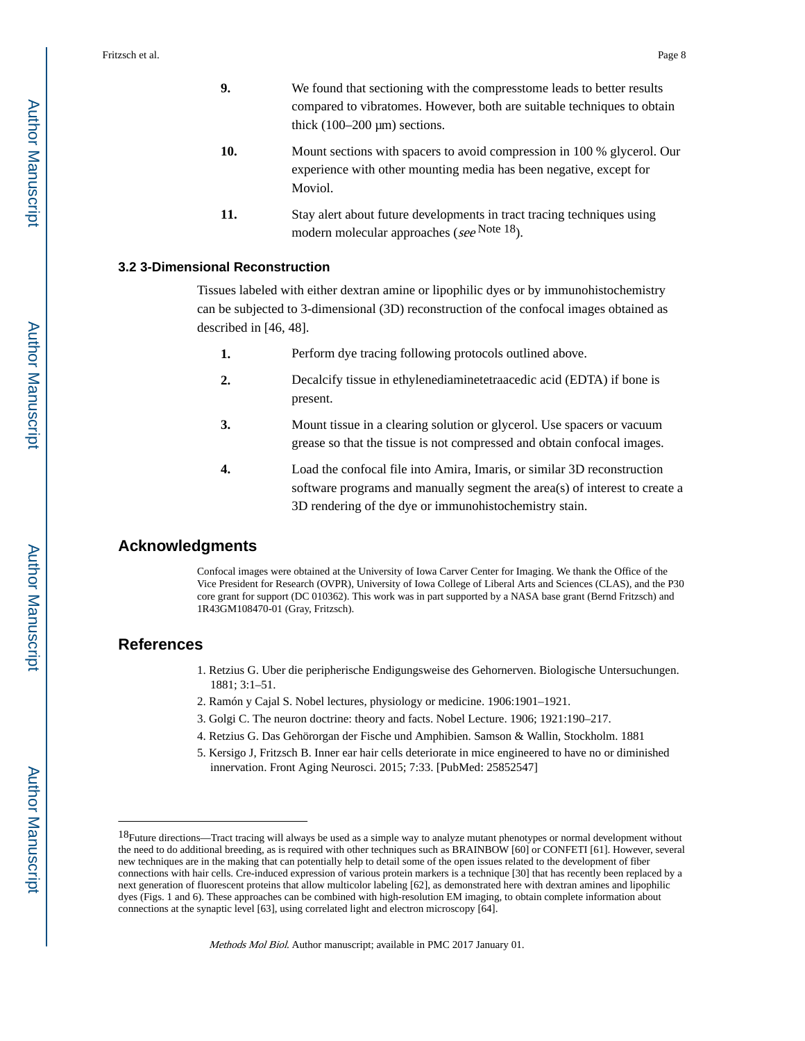- **9.** We found that sectioning with the compresstome leads to better results compared to vibratomes. However, both are suitable techniques to obtain thick  $(100-200 \,\mu m)$  sections.
- **10.** Mount sections with spacers to avoid compression in 100 % glycerol. Our experience with other mounting media has been negative, except for Moviol.
- **11.** Stay alert about future developments in tract tracing techniques using modern molecular approaches (see Note 18).

#### **3.2 3-Dimensional Reconstruction**

Tissues labeled with either dextran amine or lipophilic dyes or by immunohistochemistry can be subjected to 3-dimensional (3D) reconstruction of the confocal images obtained as described in [46, 48].

- **1.** Perform dye tracing following protocols outlined above.
- **2.** Decalcify tissue in ethylenediaminetetraacedic acid (EDTA) if bone is present.
- **3.** Mount tissue in a clearing solution or glycerol. Use spacers or vacuum grease so that the tissue is not compressed and obtain confocal images.
- **4.** Load the confocal file into Amira, Imaris, or similar 3D reconstruction software programs and manually segment the area(s) of interest to create a 3D rendering of the dye or immunohistochemistry stain.

#### **Acknowledgments**

Confocal images were obtained at the University of Iowa Carver Center for Imaging. We thank the Office of the Vice President for Research (OVPR), University of Iowa College of Liberal Arts and Sciences (CLAS), and the P30 core grant for support (DC 010362). This work was in part supported by a NASA base grant (Bernd Fritzsch) and 1R43GM108470-01 (Gray, Fritzsch).

#### **References**

- 1. Retzius G. Uber die peripherische Endigungsweise des Gehornerven. Biologische Untersuchungen. 1881; 3:1–51.
- 2. Ramón y Cajal S. Nobel lectures, physiology or medicine. 1906:1901–1921.
- 3. Golgi C. The neuron doctrine: theory and facts. Nobel Lecture. 1906; 1921:190–217.
- 4. Retzius G. Das Gehörorgan der Fische und Amphibien. Samson & Wallin, Stockholm. 1881
- 5. Kersigo J, Fritzsch B. Inner ear hair cells deteriorate in mice engineered to have no or diminished innervation. Front Aging Neurosci. 2015; 7:33. [PubMed: 25852547]

<sup>18</sup>Future directions—Tract tracing will always be used as a simple way to analyze mutant phenotypes or normal development without the need to do additional breeding, as is required with other techniques such as BRAINBOW [60] or CONFETI [61]. However, several new techniques are in the making that can potentially help to detail some of the open issues related to the development of fiber connections with hair cells. Cre-induced expression of various protein markers is a technique [30] that has recently been replaced by a next generation of fluorescent proteins that allow multicolor labeling [62], as demonstrated here with dextran amines and lipophilic dyes (Figs. 1 and 6). These approaches can be combined with high-resolution EM imaging, to obtain complete information about connections at the synaptic level [63], using correlated light and electron microscopy [64].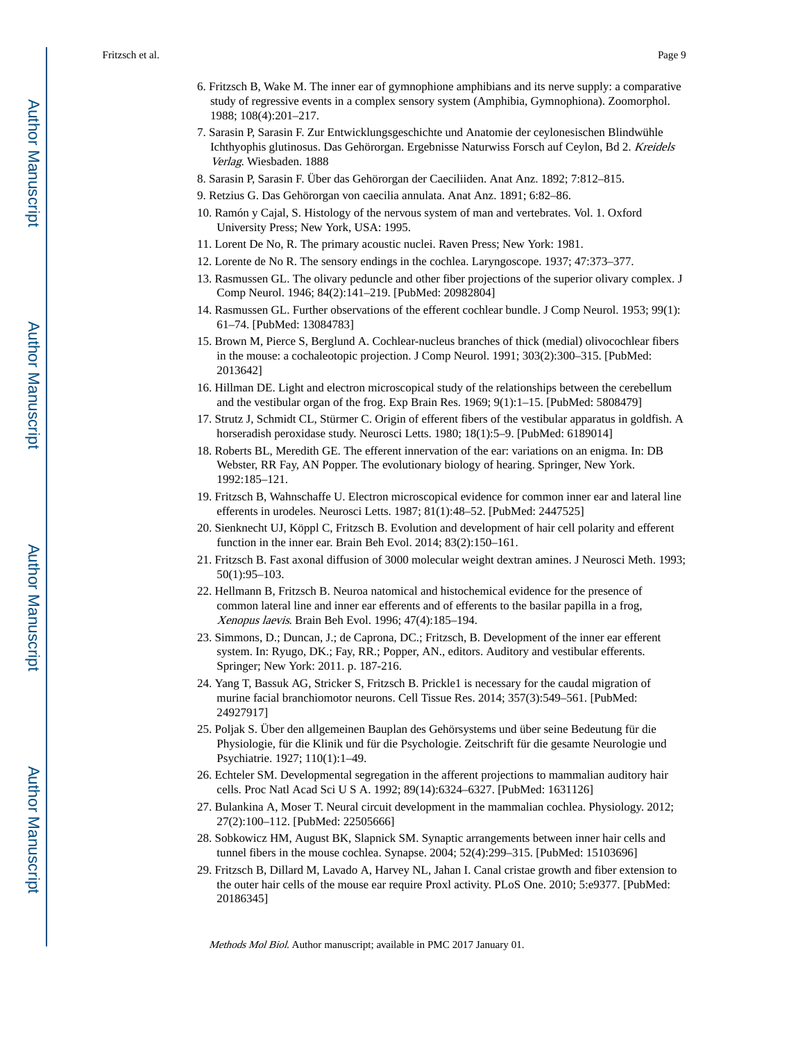- 6. Fritzsch B, Wake M. The inner ear of gymnophione amphibians and its nerve supply: a comparative study of regressive events in a complex sensory system (Amphibia, Gymnophiona). Zoomorphol. 1988; 108(4):201–217.
- 7. Sarasin P, Sarasin F. Zur Entwicklungsgeschichte und Anatomie der ceylonesischen Blindwühle Ichthyophis glutinosus. Das Gehörorgan. Ergebnisse Naturwiss Forsch auf Ceylon, Bd 2. Kreidels Verlag. Wiesbaden. 1888
- 8. Sarasin P, Sarasin F. Über das Gehörorgan der Caeciliiden. Anat Anz. 1892; 7:812–815.
- 9. Retzius G. Das Gehörorgan von caecilia annulata. Anat Anz. 1891; 6:82–86.
- 10. Ramón y Cajal, S. Histology of the nervous system of man and vertebrates. Vol. 1. Oxford University Press; New York, USA: 1995.
- 11. Lorent De No, R. The primary acoustic nuclei. Raven Press; New York: 1981.
- 12. Lorente de No R. The sensory endings in the cochlea. Laryngoscope. 1937; 47:373–377.
- 13. Rasmussen GL. The olivary peduncle and other fiber projections of the superior olivary complex. J Comp Neurol. 1946; 84(2):141–219. [PubMed: 20982804]
- 14. Rasmussen GL. Further observations of the efferent cochlear bundle. J Comp Neurol. 1953; 99(1): 61–74. [PubMed: 13084783]
- 15. Brown M, Pierce S, Berglund A. Cochlear-nucleus branches of thick (medial) olivocochlear fibers in the mouse: a cochaleotopic projection. J Comp Neurol. 1991; 303(2):300–315. [PubMed: 2013642]
- 16. Hillman DE. Light and electron microscopical study of the relationships between the cerebellum and the vestibular organ of the frog. Exp Brain Res. 1969; 9(1):1–15. [PubMed: 5808479]
- 17. Strutz J, Schmidt CL, Stürmer C. Origin of efferent fibers of the vestibular apparatus in goldfish. A horseradish peroxidase study. Neurosci Letts. 1980; 18(1):5-9. [PubMed: 6189014]
- 18. Roberts BL, Meredith GE. The efferent innervation of the ear: variations on an enigma. In: DB Webster, RR Fay, AN Popper. The evolutionary biology of hearing. Springer, New York. 1992:185–121.
- 19. Fritzsch B, Wahnschaffe U. Electron microscopical evidence for common inner ear and lateral line efferents in urodeles. Neurosci Letts. 1987; 81(1):48–52. [PubMed: 2447525]
- 20. Sienknecht UJ, Köppl C, Fritzsch B. Evolution and development of hair cell polarity and efferent function in the inner ear. Brain Beh Evol. 2014; 83(2):150–161.
- 21. Fritzsch B. Fast axonal diffusion of 3000 molecular weight dextran amines. J Neurosci Meth. 1993; 50(1):95–103.
- 22. Hellmann B, Fritzsch B. Neuroa natomical and histochemical evidence for the presence of common lateral line and inner ear efferents and of efferents to the basilar papilla in a frog, Xenopus laevis. Brain Beh Evol. 1996; 47(4):185–194.
- 23. Simmons, D.; Duncan, J.; de Caprona, DC.; Fritzsch, B. Development of the inner ear efferent system. In: Ryugo, DK.; Fay, RR.; Popper, AN., editors. Auditory and vestibular efferents. Springer; New York: 2011. p. 187-216.
- 24. Yang T, Bassuk AG, Stricker S, Fritzsch B. Prickle1 is necessary for the caudal migration of murine facial branchiomotor neurons. Cell Tissue Res. 2014; 357(3):549–561. [PubMed: 24927917]
- 25. Poljak S. Über den allgemeinen Bauplan des Gehörsystems und über seine Bedeutung für die Physiologie, für die Klinik und für die Psychologie. Zeitschrift für die gesamte Neurologie und Psychiatrie. 1927; 110(1):1–49.
- 26. Echteler SM. Developmental segregation in the afferent projections to mammalian auditory hair cells. Proc Natl Acad Sci U S A. 1992; 89(14):6324–6327. [PubMed: 1631126]
- 27. Bulankina A, Moser T. Neural circuit development in the mammalian cochlea. Physiology. 2012; 27(2):100–112. [PubMed: 22505666]
- 28. Sobkowicz HM, August BK, Slapnick SM. Synaptic arrangements between inner hair cells and tunnel fibers in the mouse cochlea. Synapse. 2004; 52(4):299–315. [PubMed: 15103696]
- 29. Fritzsch B, Dillard M, Lavado A, Harvey NL, Jahan I. Canal cristae growth and fiber extension to the outer hair cells of the mouse ear require Proxl activity. PLoS One. 2010; 5:e9377. [PubMed: 20186345]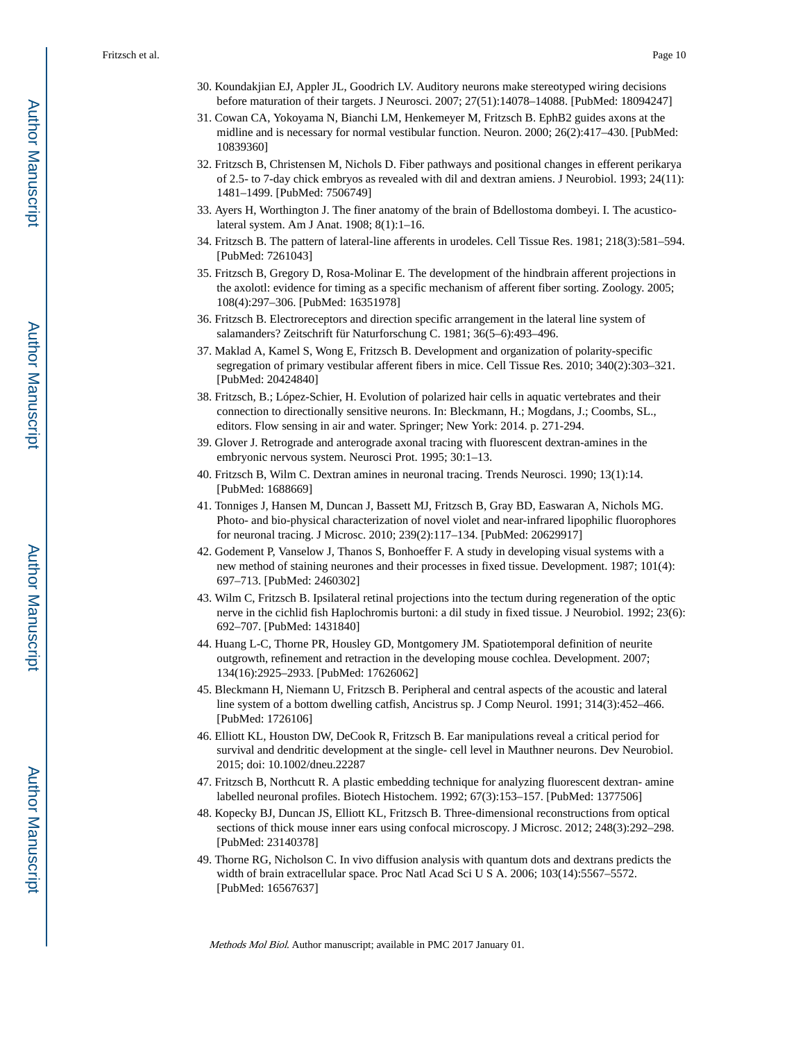- 30. Koundakjian EJ, Appler JL, Goodrich LV. Auditory neurons make stereotyped wiring decisions before maturation of their targets. J Neurosci. 2007; 27(51):14078–14088. [PubMed: 18094247]
- 31. Cowan CA, Yokoyama N, Bianchi LM, Henkemeyer M, Fritzsch B. EphB2 guides axons at the midline and is necessary for normal vestibular function. Neuron. 2000; 26(2):417–430. [PubMed: 10839360]
- 32. Fritzsch B, Christensen M, Nichols D. Fiber pathways and positional changes in efferent perikarya of 2.5- to 7-day chick embryos as revealed with dil and dextran amiens. J Neurobiol. 1993; 24(11): 1481–1499. [PubMed: 7506749]
- 33. Ayers H, Worthington J. The finer anatomy of the brain of Bdellostoma dombeyi. I. The acusticolateral system. Am J Anat. 1908; 8(1):1–16.
- 34. Fritzsch B. The pattern of lateral-line afferents in urodeles. Cell Tissue Res. 1981; 218(3):581–594. [PubMed: 7261043]
- 35. Fritzsch B, Gregory D, Rosa-Molinar E. The development of the hindbrain afferent projections in the axolotl: evidence for timing as a specific mechanism of afferent fiber sorting. Zoology. 2005; 108(4):297–306. [PubMed: 16351978]
- 36. Fritzsch B. Electroreceptors and direction specific arrangement in the lateral line system of salamanders? Zeitschrift für Naturforschung C. 1981; 36(5–6):493–496.
- 37. Maklad A, Kamel S, Wong E, Fritzsch B. Development and organization of polarity-specific segregation of primary vestibular afferent fibers in mice. Cell Tissue Res. 2010; 340(2):303–321. [PubMed: 20424840]
- 38. Fritzsch, B.; López-Schier, H. Evolution of polarized hair cells in aquatic vertebrates and their connection to directionally sensitive neurons. In: Bleckmann, H.; Mogdans, J.; Coombs, SL., editors. Flow sensing in air and water. Springer; New York: 2014. p. 271-294.
- 39. Glover J. Retrograde and anterograde axonal tracing with fluorescent dextran-amines in the embryonic nervous system. Neurosci Prot. 1995; 30:1–13.
- 40. Fritzsch B, Wilm C. Dextran amines in neuronal tracing. Trends Neurosci. 1990; 13(1):14. [PubMed: 1688669]
- 41. Tonniges J, Hansen M, Duncan J, Bassett MJ, Fritzsch B, Gray BD, Easwaran A, Nichols MG. Photo- and bio-physical characterization of novel violet and near-infrared lipophilic fluorophores for neuronal tracing. J Microsc. 2010; 239(2):117–134. [PubMed: 20629917]
- 42. Godement P, Vanselow J, Thanos S, Bonhoeffer F. A study in developing visual systems with a new method of staining neurones and their processes in fixed tissue. Development. 1987; 101(4): 697–713. [PubMed: 2460302]
- 43. Wilm C, Fritzsch B. Ipsilateral retinal projections into the tectum during regeneration of the optic nerve in the cichlid fish Haplochromis burtoni: a dil study in fixed tissue. J Neurobiol. 1992; 23(6): 692–707. [PubMed: 1431840]
- 44. Huang L-C, Thorne PR, Housley GD, Montgomery JM. Spatiotemporal definition of neurite outgrowth, refinement and retraction in the developing mouse cochlea. Development. 2007; 134(16):2925–2933. [PubMed: 17626062]
- 45. Bleckmann H, Niemann U, Fritzsch B. Peripheral and central aspects of the acoustic and lateral line system of a bottom dwelling catfish, Ancistrus sp. J Comp Neurol. 1991; 314(3):452–466. [PubMed: 1726106]
- 46. Elliott KL, Houston DW, DeCook R, Fritzsch B. Ear manipulations reveal a critical period for survival and dendritic development at the single- cell level in Mauthner neurons. Dev Neurobiol. 2015; doi: 10.1002/dneu.22287
- 47. Fritzsch B, Northcutt R. A plastic embedding technique for analyzing fluorescent dextran- amine labelled neuronal profiles. Biotech Histochem. 1992; 67(3):153–157. [PubMed: 1377506]
- 48. Kopecky BJ, Duncan JS, Elliott KL, Fritzsch B. Three-dimensional reconstructions from optical sections of thick mouse inner ears using confocal microscopy. J Microsc. 2012; 248(3):292–298. [PubMed: 23140378]
- 49. Thorne RG, Nicholson C. In vivo diffusion analysis with quantum dots and dextrans predicts the width of brain extracellular space. Proc Natl Acad Sci U S A. 2006; 103(14):5567–5572. [PubMed: 16567637]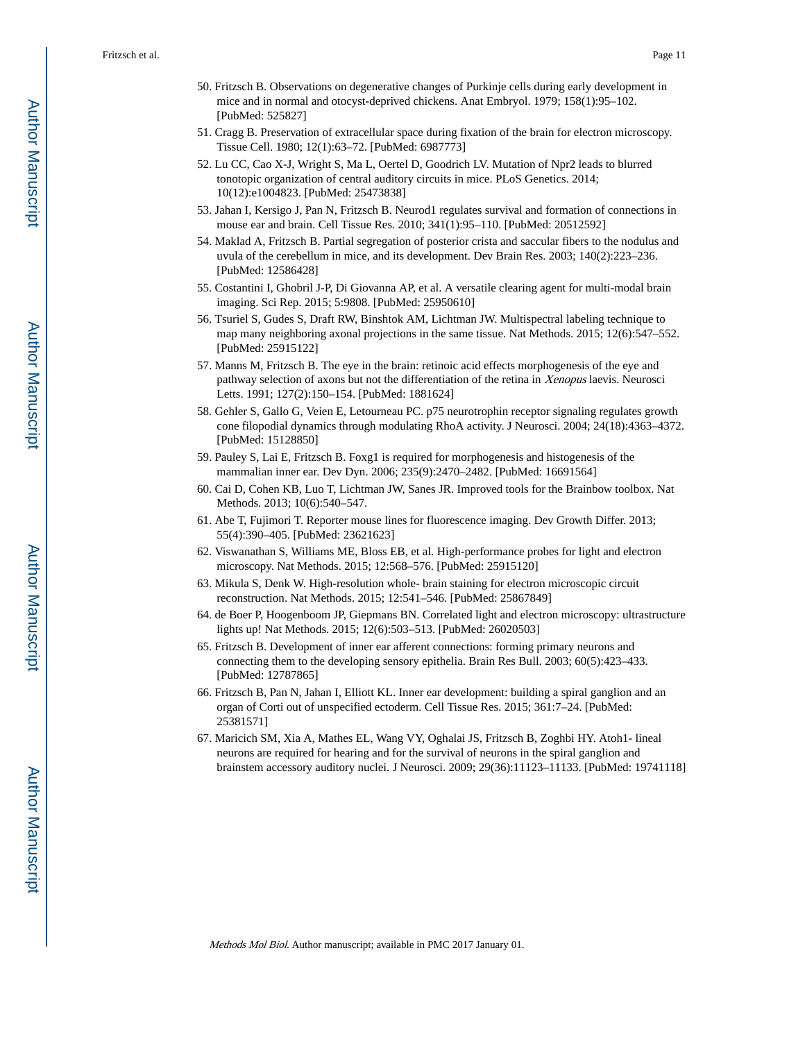- 50. Fritzsch B. Observations on degenerative changes of Purkinje cells during early development in mice and in normal and otocyst-deprived chickens. Anat Embryol. 1979; 158(1):95–102. [PubMed: 525827]
- 51. Cragg B. Preservation of extracellular space during fixation of the brain for electron microscopy. Tissue Cell. 1980; 12(1):63–72. [PubMed: 6987773]
- 52. Lu CC, Cao X-J, Wright S, Ma L, Oertel D, Goodrich LV. Mutation of Npr2 leads to blurred tonotopic organization of central auditory circuits in mice. PLoS Genetics. 2014; 10(12):e1004823. [PubMed: 25473838]
- 53. Jahan I, Kersigo J, Pan N, Fritzsch B. Neurod1 regulates survival and formation of connections in mouse ear and brain. Cell Tissue Res. 2010; 341(1):95–110. [PubMed: 20512592]
- 54. Maklad A, Fritzsch B. Partial segregation of posterior crista and saccular fibers to the nodulus and uvula of the cerebellum in mice, and its development. Dev Brain Res. 2003; 140(2):223–236. [PubMed: 12586428]
- 55. Costantini I, Ghobril J-P, Di Giovanna AP, et al. A versatile clearing agent for multi-modal brain imaging. Sci Rep. 2015; 5:9808. [PubMed: 25950610]
- 56. Tsuriel S, Gudes S, Draft RW, Binshtok AM, Lichtman JW. Multispectral labeling technique to map many neighboring axonal projections in the same tissue. Nat Methods. 2015; 12(6):547–552. [PubMed: 25915122]
- 57. Manns M, Fritzsch B. The eye in the brain: retinoic acid effects morphogenesis of the eye and pathway selection of axons but not the differentiation of the retina in Xenopus laevis. Neurosci Letts. 1991; 127(2):150–154. [PubMed: 1881624]
- 58. Gehler S, Gallo G, Veien E, Letourneau PC. p75 neurotrophin receptor signaling regulates growth cone filopodial dynamics through modulating RhoA activity. J Neurosci. 2004; 24(18):4363–4372. [PubMed: 15128850]
- 59. Pauley S, Lai E, Fritzsch B. Foxg1 is required for morphogenesis and histogenesis of the mammalian inner ear. Dev Dyn. 2006; 235(9):2470–2482. [PubMed: 16691564]
- 60. Cai D, Cohen KB, Luo T, Lichtman JW, Sanes JR. Improved tools for the Brainbow toolbox. Nat Methods. 2013; 10(6):540–547.
- 61. Abe T, Fujimori T. Reporter mouse lines for fluorescence imaging. Dev Growth Differ. 2013; 55(4):390–405. [PubMed: 23621623]
- 62. Viswanathan S, Williams ME, Bloss EB, et al. High-performance probes for light and electron microscopy. Nat Methods. 2015; 12:568–576. [PubMed: 25915120]
- 63. Mikula S, Denk W. High-resolution whole- brain staining for electron microscopic circuit reconstruction. Nat Methods. 2015; 12:541–546. [PubMed: 25867849]
- 64. de Boer P, Hoogenboom JP, Giepmans BN. Correlated light and electron microscopy: ultrastructure lights up! Nat Methods. 2015; 12(6):503–513. [PubMed: 26020503]
- 65. Fritzsch B. Development of inner ear afferent connections: forming primary neurons and connecting them to the developing sensory epithelia. Brain Res Bull. 2003; 60(5):423–433. [PubMed: 12787865]
- 66. Fritzsch B, Pan N, Jahan I, Elliott KL. Inner ear development: building a spiral ganglion and an organ of Corti out of unspecified ectoderm. Cell Tissue Res. 2015; 361:7–24. [PubMed: 25381571]
- 67. Maricich SM, Xia A, Mathes EL, Wang VY, Oghalai JS, Fritzsch B, Zoghbi HY. Atoh1- lineal neurons are required for hearing and for the survival of neurons in the spiral ganglion and brainstem accessory auditory nuclei. J Neurosci. 2009; 29(36):11123–11133. [PubMed: 19741118]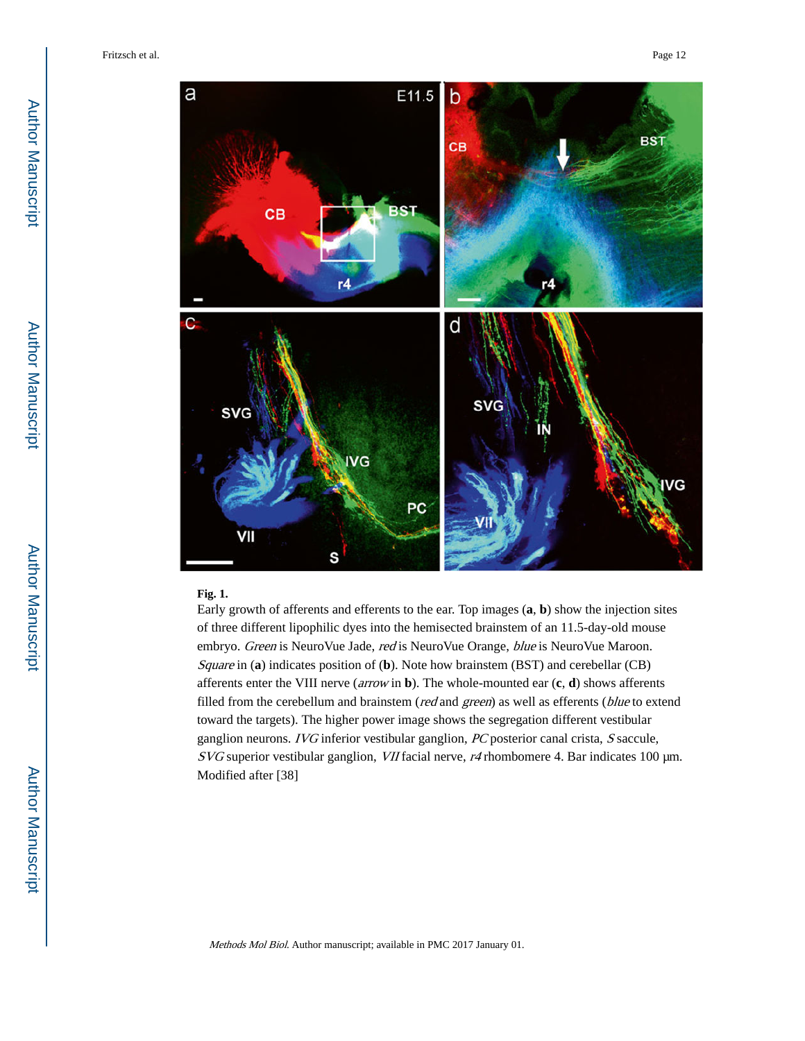

#### **Fig. 1.**

Early growth of afferents and efferents to the ear. Top images (**a**, **b**) show the injection sites of three different lipophilic dyes into the hemisected brainstem of an 11.5-day-old mouse embryo. Green is NeuroVue Jade, red is NeuroVue Orange, blue is NeuroVue Maroon. Square in (**a**) indicates position of (**b**). Note how brainstem (BST) and cerebellar (CB) afferents enter the VIII nerve (arrow in **b**). The whole-mounted ear (**c**, **d**) shows afferents filled from the cerebellum and brainstem (red and green) as well as efferents (blue to extend toward the targets). The higher power image shows the segregation different vestibular ganglion neurons. IVG inferior vestibular ganglion, PC posterior canal crista, S saccule,  $SVG$  superior vestibular ganglion, VII facial nerve,  $r4$  rhombomere 4. Bar indicates 100  $\mu$ m. Modified after [38]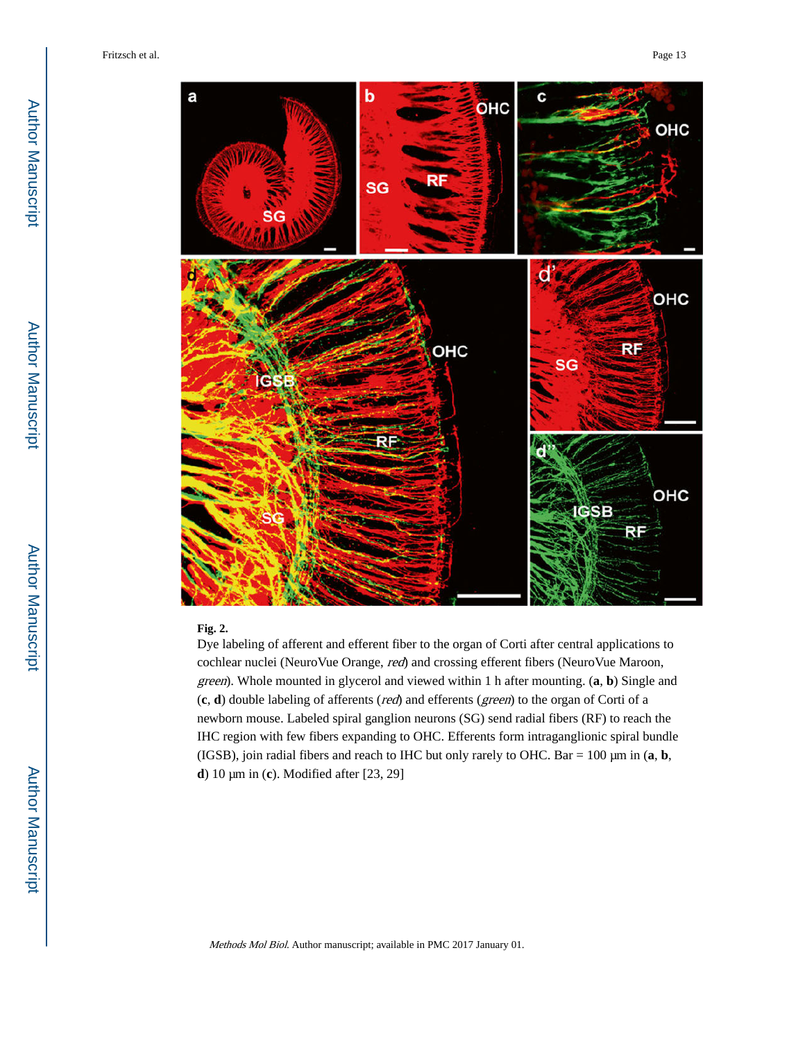

#### **Fig. 2.**

Dye labeling of afferent and efferent fiber to the organ of Corti after central applications to cochlear nuclei (NeuroVue Orange, red) and crossing efferent fibers (NeuroVue Maroon, green). Whole mounted in glycerol and viewed within 1 h after mounting. (**a**, **b**) Single and (**c**, **d**) double labeling of afferents (red) and efferents (green) to the organ of Corti of a newborn mouse. Labeled spiral ganglion neurons (SG) send radial fibers (RF) to reach the IHC region with few fibers expanding to OHC. Efferents form intraganglionic spiral bundle (IGSB), join radial fibers and reach to IHC but only rarely to OHC. Bar = 100 μm in (**a**, **b**, **d**) 10 μm in (**c**). Modified after [23, 29]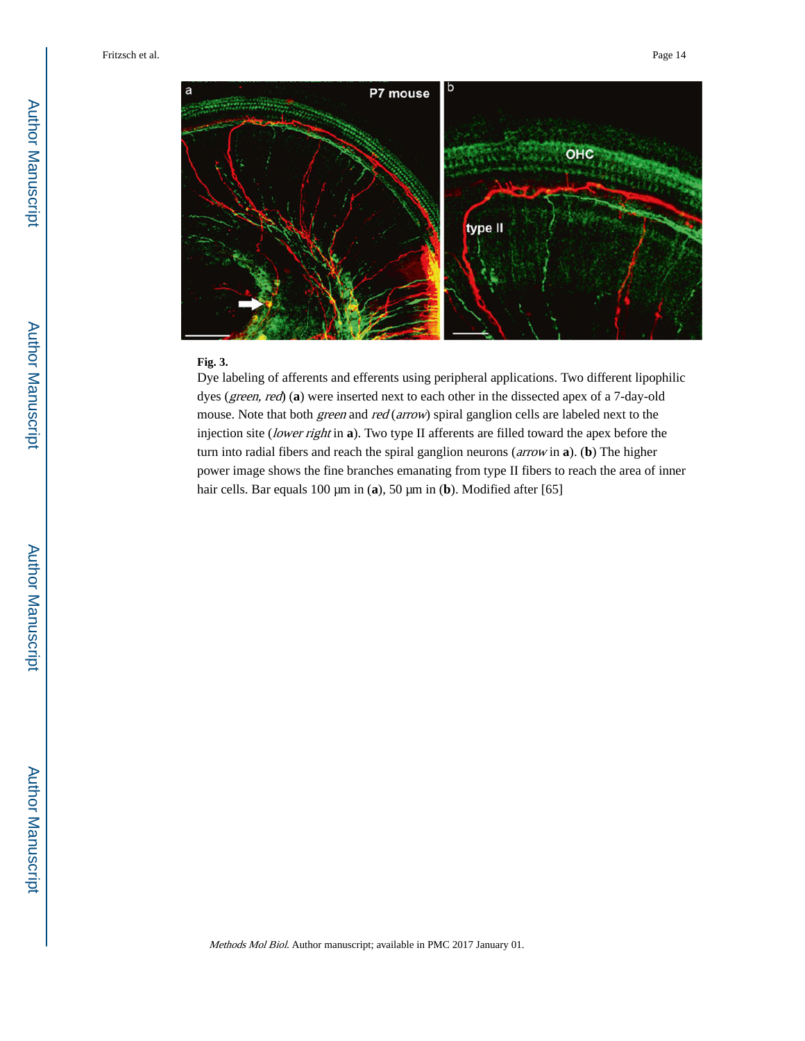

#### **Fig. 3.**

Dye labeling of afferents and efferents using peripheral applications. Two different lipophilic dyes (green, red) (**a**) were inserted next to each other in the dissected apex of a 7-day-old mouse. Note that both *green* and *red* (*arrow*) spiral ganglion cells are labeled next to the injection site (lower right in **a**). Two type II afferents are filled toward the apex before the turn into radial fibers and reach the spiral ganglion neurons (arrow in **a**). (**b**) The higher power image shows the fine branches emanating from type II fibers to reach the area of inner hair cells. Bar equals 100 μm in (**a**), 50 μm in (**b**). Modified after [65]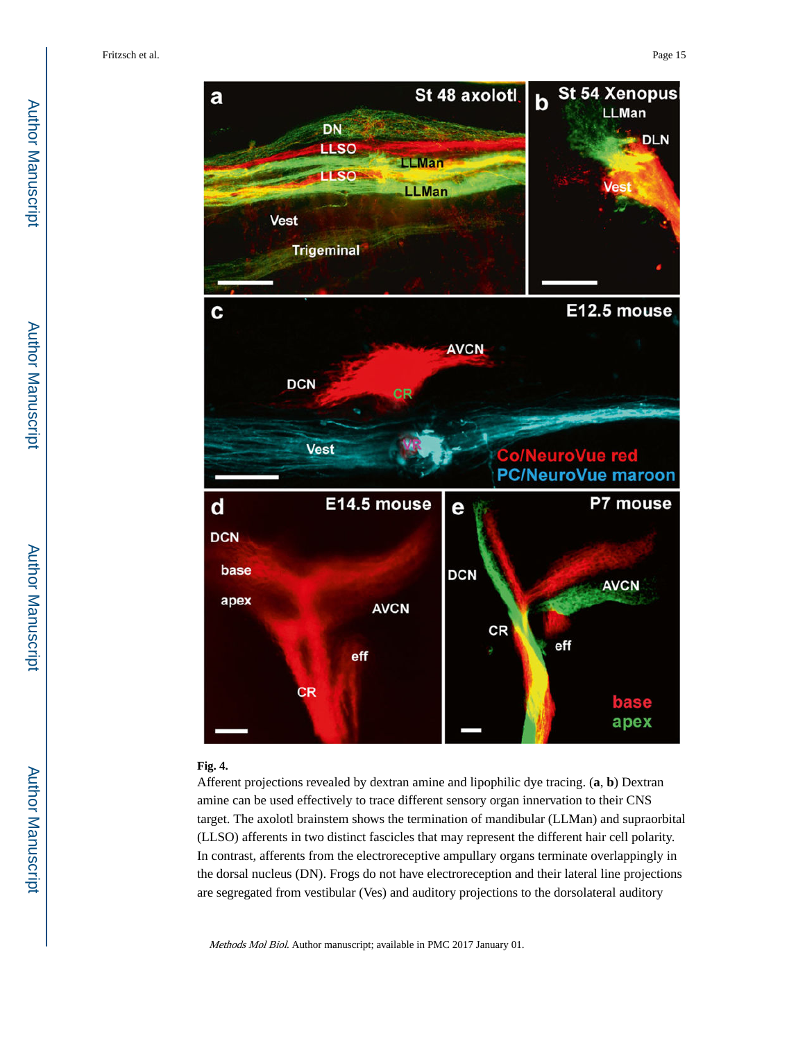

#### **Fig. 4.**

Afferent projections revealed by dextran amine and lipophilic dye tracing. (**a**, **b**) Dextran amine can be used effectively to trace different sensory organ innervation to their CNS target. The axolotl brainstem shows the termination of mandibular (LLMan) and supraorbital (LLSO) afferents in two distinct fascicles that may represent the different hair cell polarity. In contrast, afferents from the electroreceptive ampullary organs terminate overlappingly in the dorsal nucleus (DN). Frogs do not have electroreception and their lateral line projections are segregated from vestibular (Ves) and auditory projections to the dorsolateral auditory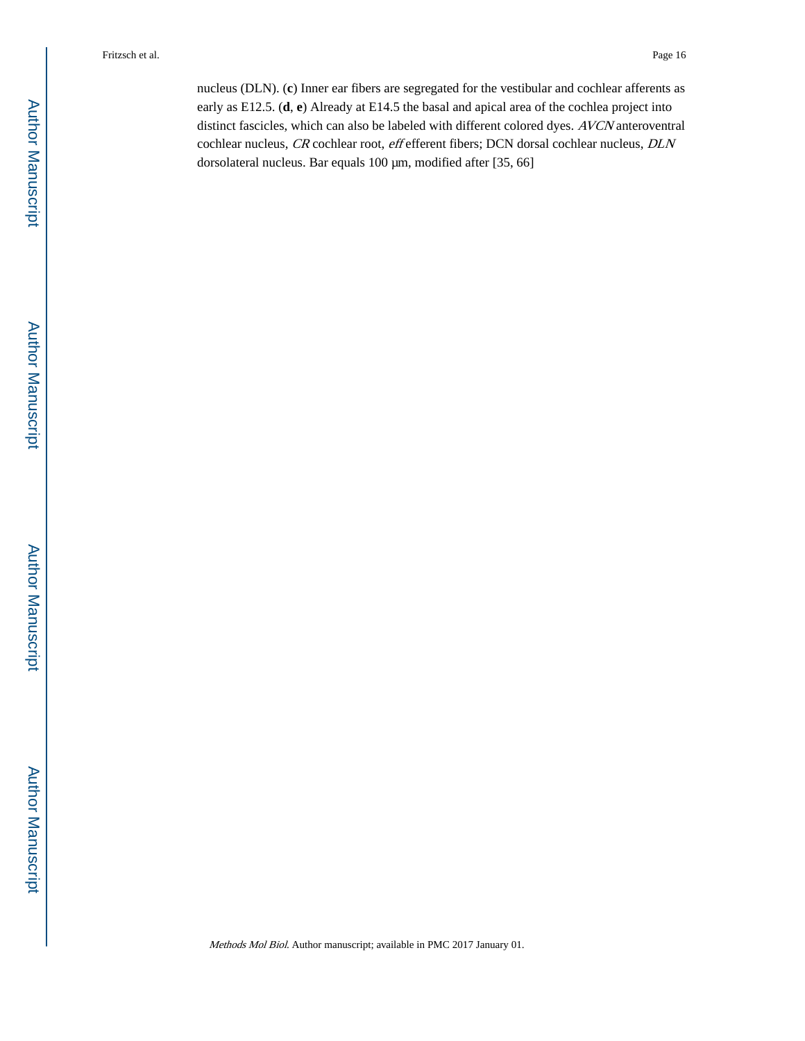nucleus (DLN). (**c**) Inner ear fibers are segregated for the vestibular and cochlear afferents as early as E12.5. (**d**, **e**) Already at E14.5 the basal and apical area of the cochlea project into distinct fascicles, which can also be labeled with different colored dyes. AVCN anteroventral cochlear nucleus, CR cochlear root, eff efferent fibers; DCN dorsal cochlear nucleus, DLN dorsolateral nucleus. Bar equals 100 μm, modified after [35, 66]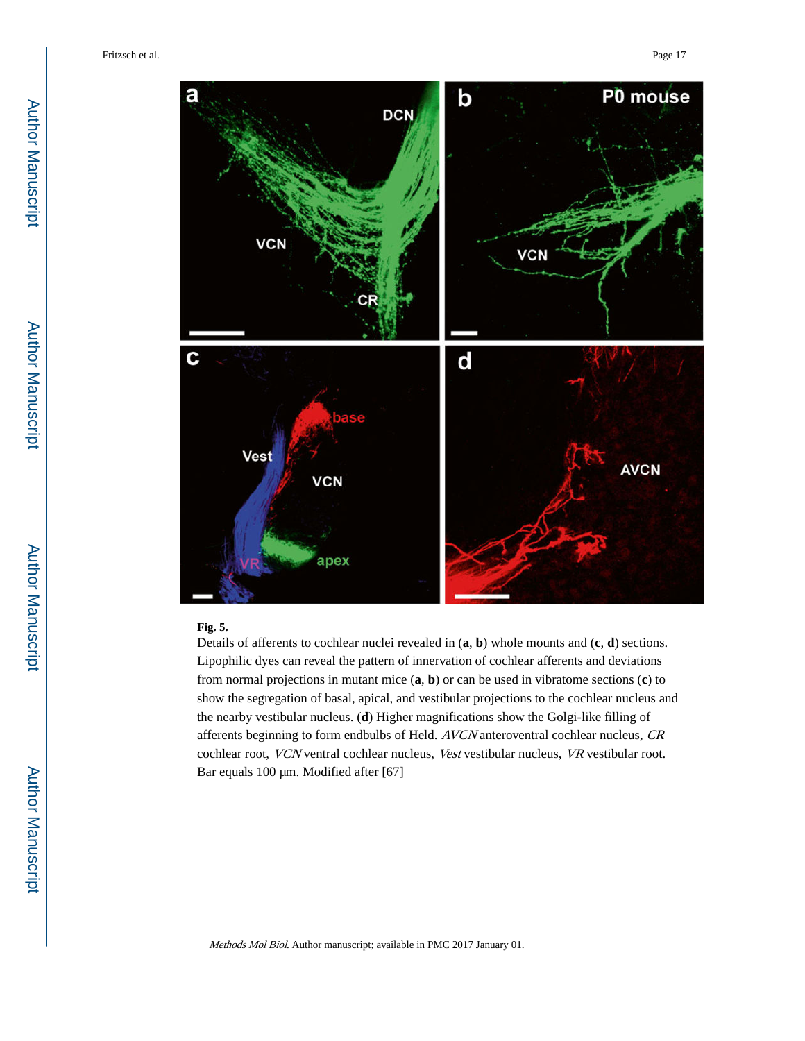

#### **Fig. 5.**

Details of afferents to cochlear nuclei revealed in (**a**, **b**) whole mounts and (**c**, **d**) sections. Lipophilic dyes can reveal the pattern of innervation of cochlear afferents and deviations from normal projections in mutant mice (**a**, **b**) or can be used in vibratome sections (**c**) to show the segregation of basal, apical, and vestibular projections to the cochlear nucleus and the nearby vestibular nucleus. (**d**) Higher magnifications show the Golgi-like filling of afferents beginning to form endbulbs of Held. AVCN anteroventral cochlear nucleus, CR cochlear root, VCN ventral cochlear nucleus, Vest vestibular nucleus, VR vestibular root. Bar equals 100 μm. Modified after [67]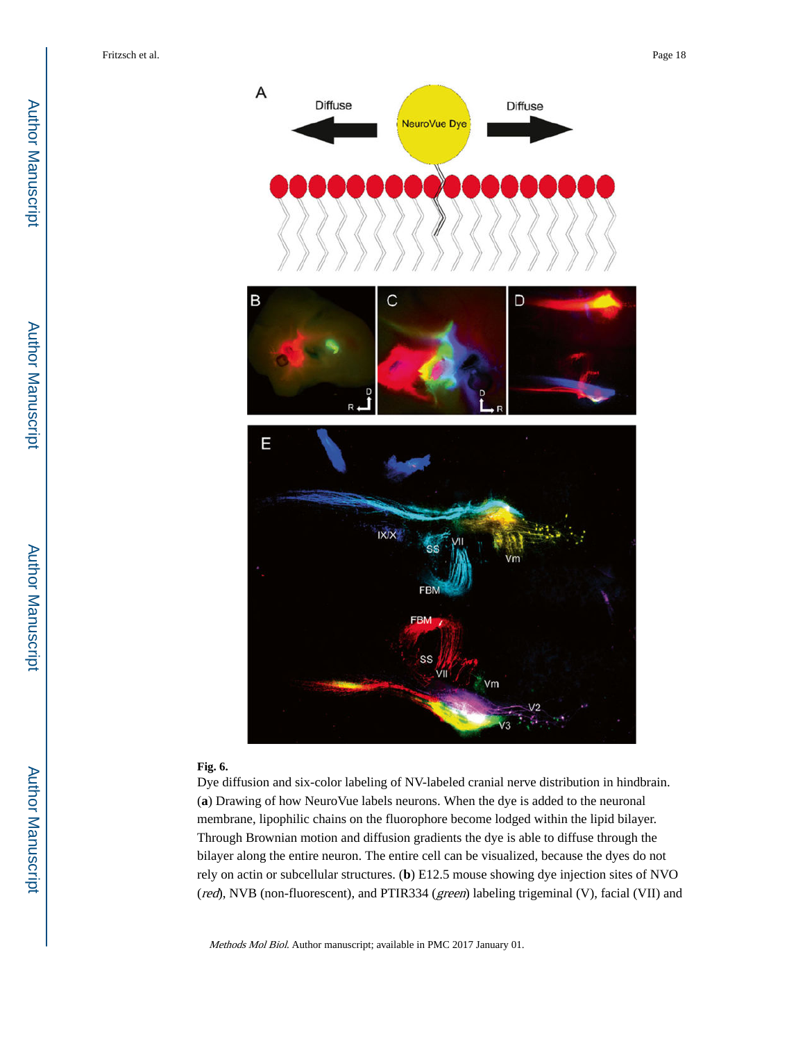

#### **Fig. 6.**

Dye diffusion and six-color labeling of NV-labeled cranial nerve distribution in hindbrain. (**a**) Drawing of how NeuroVue labels neurons. When the dye is added to the neuronal membrane, lipophilic chains on the fluorophore become lodged within the lipid bilayer. Through Brownian motion and diffusion gradients the dye is able to diffuse through the bilayer along the entire neuron. The entire cell can be visualized, because the dyes do not rely on actin or subcellular structures. (**b**) E12.5 mouse showing dye injection sites of NVO (red), NVB (non-fluorescent), and PTIR334 (green) labeling trigeminal (V), facial (VII) and